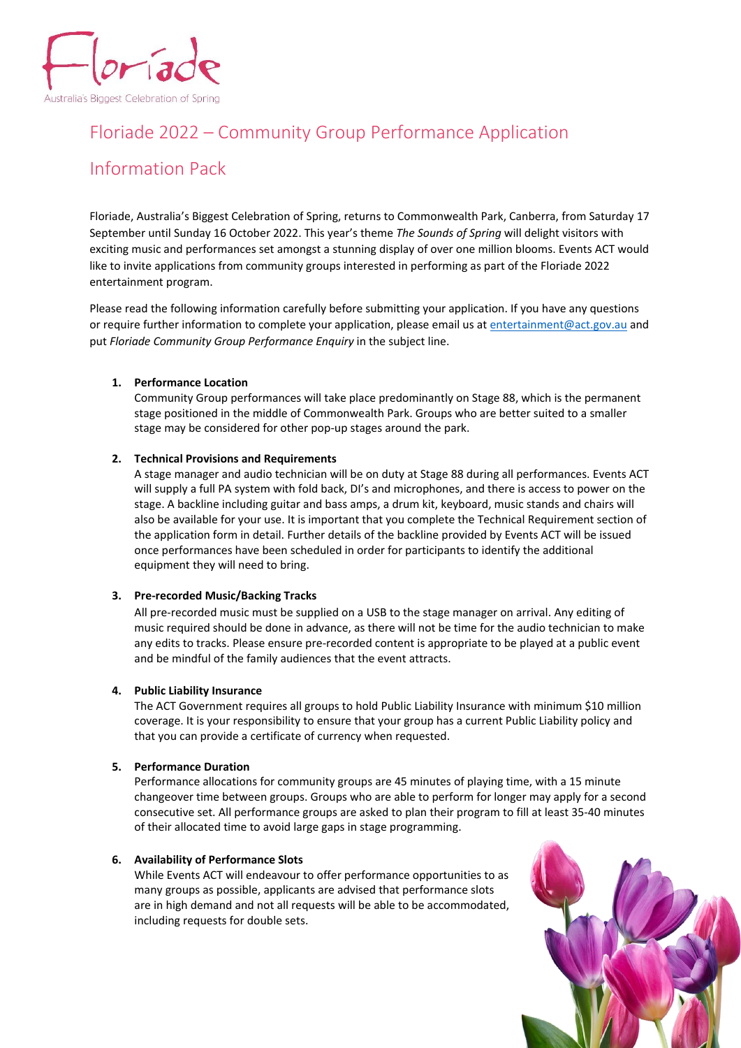

# Floriade 2022 – Community Group Performance Application

# Information Pack

Floriade, Australia's Biggest Celebration of Spring, returns to Commonwealth Park, Canberra, from Saturday 17 September until Sunday 16 October 2022. This year's theme *The Sounds of Spring* will delight visitors with exciting music and performances set amongst a stunning display of over one million blooms. Events ACT would like to invite applications from community groups interested in performing as part of the Floriade 2022 entertainment program.

Please read the following information carefully before submitting your application. If you have any questions or require further information to complete your application, please email us a[t entertainment@act.gov.au](mailto:entertainment@act.gov.au) and put *Floriade Community Group Performance Enquiry* in the subject line.

### **1. Performance Location**

Community Group performances will take place predominantly on Stage 88, which is the permanent stage positioned in the middle of Commonwealth Park. Groups who are better suited to a smaller stage may be considered for other pop-up stages around the park.

#### **2. Technical Provisions and Requirements**

A stage manager and audio technician will be on duty at Stage 88 during all performances. Events ACT will supply a full PA system with fold back, DI's and microphones, and there is access to power on the stage. A backline including guitar and bass amps, a drum kit, keyboard, music stands and chairs will also be available for your use. It is important that you complete the Technical Requirement section of the application form in detail. Further details of the backline provided by Events ACT will be issued once performances have been scheduled in order for participants to identify the additional equipment they will need to bring.

### **3. Pre-recorded Music/Backing Tracks**

All pre-recorded music must be supplied on a USB to the stage manager on arrival. Any editing of music required should be done in advance, as there will not be time for the audio technician to make any edits to tracks. Please ensure pre-recorded content is appropriate to be played at a public event and be mindful of the family audiences that the event attracts.

#### **4. Public Liability Insurance**

The ACT Government requires all groups to hold Public Liability Insurance with minimum \$10 million coverage. It is your responsibility to ensure that your group has a current Public Liability policy and that you can provide a certificate of currency when requested.

#### **5. Performance Duration**

Performance allocations for community groups are 45 minutes of playing time, with a 15 minute changeover time between groups. Groups who are able to perform for longer may apply for a second consecutive set. All performance groups are asked to plan their program to fill at least 35-40 minutes of their allocated time to avoid large gaps in stage programming.

#### **6. Availability of Performance Slots**

While Events ACT will endeavour to offer performance opportunities to as many groups as possible, applicants are advised that performance slots are in high demand and not all requests will be able to be accommodated, including requests for double sets.